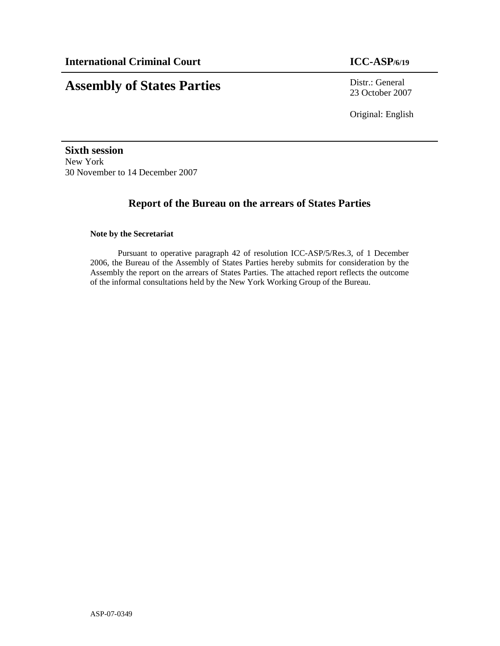# **Assembly of States Parties** Distr.: General

23 October 2007

Original: English

**Sixth session**  New York 30 November to 14 December 2007

# **Report of the Bureau on the arrears of States Parties**

#### **Note by the Secretariat**

Pursuant to operative paragraph 42 of resolution ICC-ASP/5/Res.3, of 1 December 2006, the Bureau of the Assembly of States Parties hereby submits for consideration by the Assembly the report on the arrears of States Parties. The attached report reflects the outcome of the informal consultations held by the New York Working Group of the Bureau.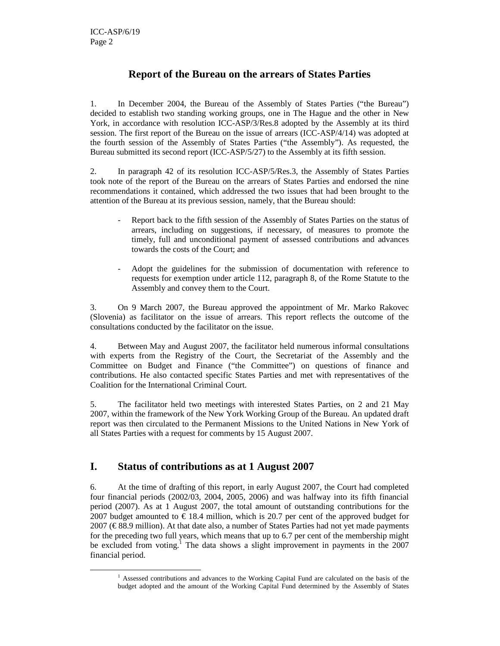-

# **Report of the Bureau on the arrears of States Parties**

1. In December 2004, the Bureau of the Assembly of States Parties ("the Bureau") decided to establish two standing working groups, one in The Hague and the other in New York, in accordance with resolution ICC-ASP/3/Res.8 adopted by the Assembly at its third session. The first report of the Bureau on the issue of arrears (ICC-ASP/4/14) was adopted at the fourth session of the Assembly of States Parties ("the Assembly"). As requested, the Bureau submitted its second report (ICC-ASP/5/27) to the Assembly at its fifth session.

2. In paragraph 42 of its resolution ICC-ASP/5/Res.3, the Assembly of States Parties took note of the report of the Bureau on the arrears of States Parties and endorsed the nine recommendations it contained, which addressed the two issues that had been brought to the attention of the Bureau at its previous session, namely, that the Bureau should:

- Report back to the fifth session of the Assembly of States Parties on the status of arrears, including on suggestions, if necessary, of measures to promote the timely, full and unconditional payment of assessed contributions and advances towards the costs of the Court; and
- Adopt the guidelines for the submission of documentation with reference to requests for exemption under article 112, paragraph 8, of the Rome Statute to the Assembly and convey them to the Court.

3. On 9 March 2007, the Bureau approved the appointment of Mr. Marko Rakovec (Slovenia) as facilitator on the issue of arrears. This report reflects the outcome of the consultations conducted by the facilitator on the issue.

4. Between May and August 2007, the facilitator held numerous informal consultations with experts from the Registry of the Court, the Secretariat of the Assembly and the Committee on Budget and Finance ("the Committee") on questions of finance and contributions. He also contacted specific States Parties and met with representatives of the Coalition for the International Criminal Court.

5. The facilitator held two meetings with interested States Parties, on 2 and 21 May 2007, within the framework of the New York Working Group of the Bureau. An updated draft report was then circulated to the Permanent Missions to the United Nations in New York of all States Parties with a request for comments by 15 August 2007.

## **I. Status of contributions as at 1 August 2007**

6. At the time of drafting of this report, in early August 2007, the Court had completed four financial periods (2002/03, 2004, 2005, 2006) and was halfway into its fifth financial period (2007). As at 1 August 2007, the total amount of outstanding contributions for the 2007 budget amounted to  $\epsilon$  18.4 million, which is 207 per cent of the approved budget for 2007 ( $\epsilon$  88.9 million). At that date also, a number of States Parties had not yet made payments for the preceding two full years, which means that up to 6.7 per cent of the membership might be excluded from voting.<sup>1</sup> The data shows a slight improvement in payments in the 2007 financial period.

<sup>&</sup>lt;sup>1</sup> Assessed contributions and advances to the Working Capital Fund are calculated on the basis of the budget adopted and the amount of the Working Capital Fund determined by the Assembly of States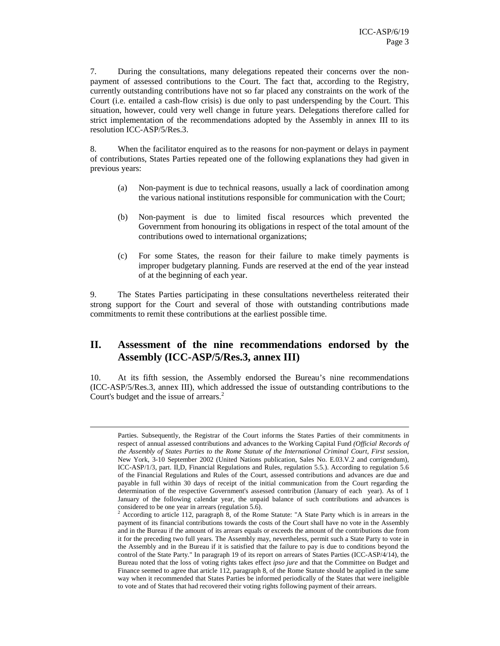7. During the consultations, many delegations repeated their concerns over the nonpayment of assessed contributions to the Court. The fact that, according to the Registry, currently outstanding contributions have not so far placed any constraints on the work of the Court (i.e. entailed a cash-flow crisis) is due only to past underspending by the Court. This situation, however, could very well change in future years. Delegations therefore called for strict implementation of the recommendations adopted by the Assembly in annex III to its resolution ICC-ASP/5/Res.3.

8. When the facilitator enquired as to the reasons for non-payment or delays in payment of contributions, States Parties repeated one of the following explanations they had given in previous years:

- (a) Non-payment is due to technical reasons, usually a lack of coordination among the various national institutions responsible for communication with the Court;
- (b) Non-payment is due to limited fiscal resources which prevented the Government from honouring its obligations in respect of the total amount of the contributions owed to international organizations;
- (c) For some States, the reason for their failure to make timely payments is improper budgetary planning. Funds are reserved at the end of the year instead of at the beginning of each year.

9. The States Parties participating in these consultations nevertheless reiterated their strong support for the Court and several of those with outstanding contributions made commitments to remit these contributions at the earliest possible time.

## **II. Assessment of the nine recommendations endorsed by the Assembly (ICC-ASP/5/Res.3, annex III)**

10. At its fifth session, the Assembly endorsed the Bureau's nine recommendations (ICC-ASP/5/Res.3, annex III), which addressed the issue of outstanding contributions to the Court's budget and the issue of arrears.<sup>2</sup>

-

Parties. Subsequently, the Registrar of the Court informs the States Parties of their commitments in respect of annual assessed contributions and advances to the Working Capital Fund *(Official Records of the Assembly of States Parties to the Rome Statute of the International Criminal Court, First session*, New York, 3-10 September 2002 (United Nations publication, Sales No. E.03.V.2 and corrigendum), ICC-ASP/1/3, part. II,D, Financial Regulations and Rules*,* regulation 5.5.). According to regulation 5.6 of the Financial Regulations and Rules of the Court, assessed contributions and advances are due and payable in full within 30 days of receipt of the initial communication from the Court regarding the determination of the respective Government's assessed contribution (January of each year). As of 1 January of the following calendar year, the unpaid balance of such contributions and advances is considered to be one year in arrears (regulation 5.6).

<sup>&</sup>lt;sup>2</sup> According to article 112, paragraph 8, of the Rome Statute: "A State Party which is in arrears in the payment of its financial contributions towards the costs of the Court shall have no vote in the Assembly and in the Bureau if the amount of its arrears equals or exceeds the amount of the contributions due from it for the preceding two full years. The Assembly may, nevertheless, permit such a State Party to vote in the Assembly and in the Bureau if it is satisfied that the failure to pay is due to conditions beyond the control of the State Party." In paragraph 19 of its report on arrears of States Parties (ICC-ASP/4/14), the Bureau noted that the loss of voting rights takes effect *ipso jure* and that the Committee on Budget and Finance seemed to agree that article 112, paragraph 8, of the Rome Statute should be applied in the same way when it recommended that States Parties be informed periodically of the States that were ineligible to vote and of States that had recovered their voting rights following payment of their arrears.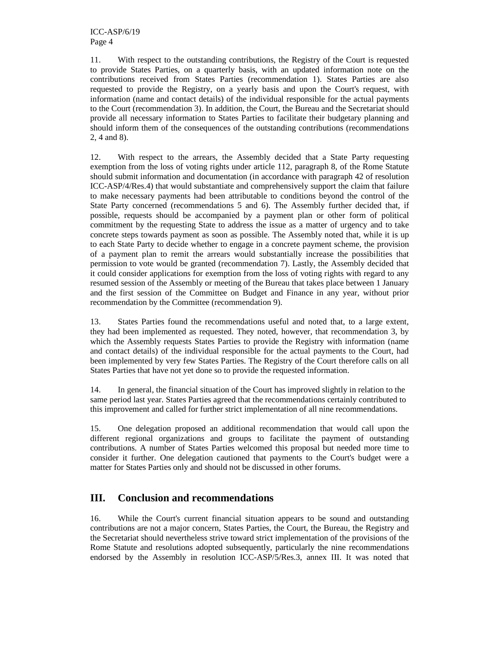11. With respect to the outstanding contributions, the Registry of the Court is requested to provide States Parties, on a quarterly basis, with an updated information note on the contributions received from States Parties (recommendation 1). States Parties are also requested to provide the Registry, on a yearly basis and upon the Court's request, with information (name and contact details) of the individual responsible for the actual payments to the Court (recommendation 3). In addition, the Court, the Bureau and the Secretariat should provide all necessary information to States Parties to facilitate their budgetary planning and should inform them of the consequences of the outstanding contributions (recommendations 2, 4 and 8).

12. With respect to the arrears, the Assembly decided that a State Party requesting exemption from the loss of voting rights under article 112, paragraph 8, of the Rome Statute should submit information and documentation (in accordance with paragraph 42 of resolution ICC-ASP/4/Res.4) that would substantiate and comprehensively support the claim that failure to make necessary payments had been attributable to conditions beyond the control of the State Party concerned (recommendations 5 and 6). The Assembly further decided that, if possible, requests should be accompanied by a payment plan or other form of political commitment by the requesting State to address the issue as a matter of urgency and to take concrete steps towards payment as soon as possible. The Assembly noted that, while it is up to each State Party to decide whether to engage in a concrete payment scheme, the provision of a payment plan to remit the arrears would substantially increase the possibilities that permission to vote would be granted (recommendation 7). Lastly, the Assembly decided that it could consider applications for exemption from the loss of voting rights with regard to any resumed session of the Assembly or meeting of the Bureau that takes place between 1 January and the first session of the Committee on Budget and Finance in any year, without prior recommendation by the Committee (recommendation 9).

13. States Parties found the recommendations useful and noted that, to a large extent, they had been implemented as requested. They noted, however, that recommendation 3, by which the Assembly requests States Parties to provide the Registry with information (name and contact details) of the individual responsible for the actual payments to the Court, had been implemented by very few States Parties. The Registry of the Court therefore calls on all States Parties that have not yet done so to provide the requested information.

14. In general, the financial situation of the Court has improved slightly in relation to the same period last year. States Parties agreed that the recommendations certainly contributed to this improvement and called for further strict implementation of all nine recommendations.

15. One delegation proposed an additional recommendation that would call upon the different regional organizations and groups to facilitate the payment of outstanding contributions. A number of States Parties welcomed this proposal but needed more time to consider it further. One delegation cautioned that payments to the Court's budget were a matter for States Parties only and should not be discussed in other forums.

## **III. Conclusion and recommendations**

16. While the Court's current financial situation appears to be sound and outstanding contributions are not a major concern, States Parties, the Court, the Bureau, the Registry and the Secretariat should nevertheless strive toward strict implementation of the provisions of the Rome Statute and resolutions adopted subsequently, particularly the nine recommendations endorsed by the Assembly in resolution ICC-ASP/5/Res.3, annex III. It was noted that